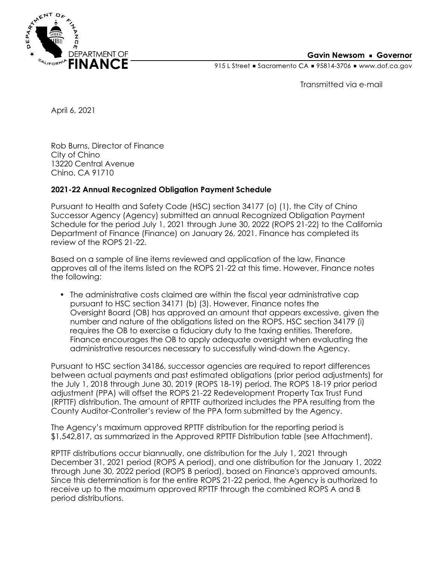

## **Gavin Newsom • Governor**

915 L Street Gacramento CA = 95814-3706 Www.dof.ca.gov

Transmitted via e-mail

April 6, 2021

Rob Burns, Director of Finance City of Chino 13220 Central Avenue Chino, CA 91710

## **2021-22 Annual Recognized Obligation Payment Schedule**

Pursuant to Health and Safety Code (HSC) section 34177 (o) (1), the City of Chino Successor Agency (Agency) submitted an annual Recognized Obligation Payment Schedule for the period July 1, 2021 through June 30, 2022 (ROPS 21-22) to the California Department of Finance (Finance) on January 26, 2021. Finance has completed its review of the ROPS 21-22.

Based on a sample of line items reviewed and application of the law, Finance approves all of the items listed on the ROPS 21-22 at this time. However, Finance notes the following:

• The administrative costs claimed are within the fiscal year administrative cap pursuant to HSC section 34171 (b) (3). However, Finance notes the Oversight Board (OB) has approved an amount that appears excessive, given the number and nature of the obligations listed on the ROPS. HSC section 34179 (i) requires the OB to exercise a fiduciary duty to the taxing entities. Therefore, Finance encourages the OB to apply adequate oversight when evaluating the administrative resources necessary to successfully wind-down the Agency.

Pursuant to HSC section 34186, successor agencies are required to report differences between actual payments and past estimated obligations (prior period adjustments) for the July 1, 2018 through June 30, 2019 (ROPS 18-19) period. The ROPS 18-19 prior period adjustment (PPA) will offset the ROPS 21-22 Redevelopment Property Tax Trust Fund (RPTTF) distribution. The amount of RPTTF authorized includes the PPA resulting from the County Auditor-Controller's review of the PPA form submitted by the Agency.

The Agency's maximum approved RPTTF distribution for the reporting period is \$1,542,817, as summarized in the Approved RPTTF Distribution table (see Attachment).

RPTTF distributions occur biannually, one distribution for the July 1, 2021 through December 31, 2021 period (ROPS A period), and one distribution for the January 1, 2022 through June 30, 2022 period (ROPS B period), based on Finance's approved amounts. Since this determination is for the entire ROPS 21-22 period, the Agency is authorized to receive up to the maximum approved RPTTF through the combined ROPS A and B period distributions.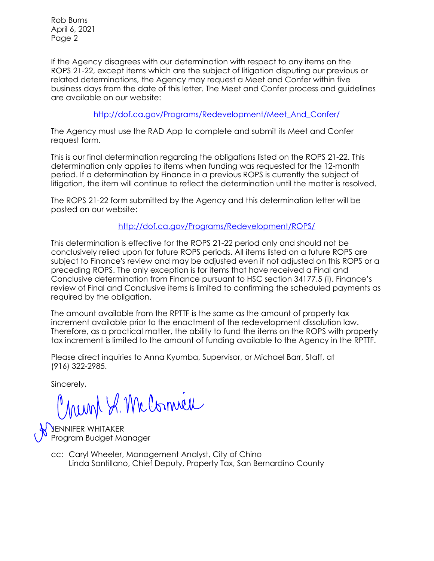Rob Burns April 6, 2021 Page 2

If the Agency disagrees with our determination with respect to any items on the ROPS 21-22, except items which are the subject of litigation disputing our previous or related determinations, the Agency may request a Meet and Confer within five business days from the date of this letter. The Meet and Confer process and guidelines are available on our website:

http://dof.ca.gov/Programs/Redevelopment/Meet\_And\_Confer/

The Agency must use the RAD App to complete and submit its Meet and Confer request form.

This is our final determination regarding the obligations listed on the ROPS 21-22. This determination only applies to items when funding was requested for the 12-month period. If a determination by Finance in a previous ROPS is currently the subject of litigation, the item will continue to reflect the determination until the matter is resolved.

The ROPS 21-22 form submitted by the Agency and this determination letter will be posted on our website:

<http://dof.ca.gov/Programs/Redevelopment/ROPS/>

This determination is effective for the ROPS 21-22 period only and should not be conclusively relied upon for future ROPS periods. All items listed on a future ROPS are subject to Finance's review and may be adjusted even if not adjusted on this ROPS or a preceding ROPS. The only exception is for items that have received a Final and Conclusive determination from Finance pursuant to HSC section 34177.5 (i). Finance's review of Final and Conclusive items is limited to confirming the scheduled payments as required by the obligation.

The amount available from the RPTTF is the same as the amount of property tax increment available prior to the enactment of the redevelopment dissolution law. Therefore, as a practical matter, the ability to fund the items on the ROPS with property tax increment is limited to the amount of funding available to the Agency in the RPTTF.

Please direct inquiries to Anna Kyumba, Supervisor, or Michael Barr, Staff, at (916) 322-2985.

Sincerely,

Munt S. McConneu

ENNIFER WHITAKER Program Budget Manager

cc: Caryl Wheeler, Management Analyst, City of Chino Linda Santillano, Chief Deputy, Property Tax, San Bernardino County